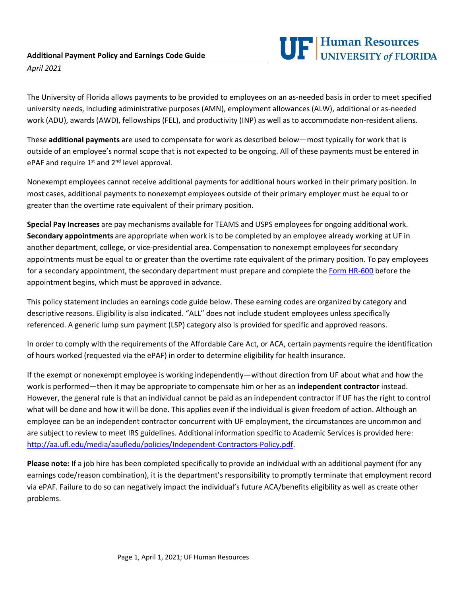

*April 2021*

The University of Florida allows payments to be provided to employees on an as-needed basis in order to meet specified university needs, including administrative purposes (AMN), employment allowances (ALW), additional or as-needed work (ADU), awards (AWD), fellowships (FEL), and productivity (INP) as well as to accommodate non-resident aliens.

These **additional payments** are used to compensate for work as described below—most typically for work that is outside of an employee's normal scope that is not expected to be ongoing. All of these payments must be entered in ePAF and require  $1^{st}$  and  $2^{nd}$  level approval.

Nonexempt employees cannot receive additional payments for additional hours worked in their primary position. In most cases, additional payments to nonexempt employees outside of their primary employer must be equal to or greater than the overtime rate equivalent of their primary position.

**Special Pay Increases** are pay mechanisms available for TEAMS and USPS employees for ongoing additional work. **Secondary appointments** are appropriate when work is to be completed by an employee already working at UF in another department, college, or vice-presidential area. Compensation to nonexempt employees for secondary appointments must be equal to or greater than the overtime rate equivalent of the primary position. To pay employees for a secondary appointment, the secondary department must prepare and complete the [Form HR-600](https://hr.ufl.edu/wp-content/uploads/2018/04/requestaddcomp.pdf) before the appointment begins, which must be approved in advance.

This policy statement includes an earnings code guide below. These earning codes are organized by category and descriptive reasons. Eligibility is also indicated. "ALL" does not include student employees unless specifically referenced. A generic lump sum payment (LSP) category also is provided for specific and approved reasons.

In order to comply with the requirements of the Affordable Care Act, or ACA, certain payments require the identification of hours worked (requested via the ePAF) in order to determine eligibility for health insurance.

If the exempt or nonexempt employee is working independently—without direction from UF about what and how the work is performed—then it may be appropriate to compensate him or her as an **independent contractor** instead. However, the general rule is that an individual cannot be paid as an independent contractor if UF has the right to control what will be done and how it will be done. This applies even if the individual is given freedom of action. Although an employee can be an independent contractor concurrent with UF employment, the circumstances are uncommon and are subject to review to meet IRS guidelines. Additional information specific to Academic Services is provided here: [http://aa.ufl.edu/media/aaufledu/policies/Independent-Contractors-Policy.pdf.](http://aa.ufl.edu/media/aaufledu/policies/Independent-Contractors-Policy.pdf)

**Please note:** If a job hire has been completed specifically to provide an individual with an additional payment (for any earnings code/reason combination), it is the department's responsibility to promptly terminate that employment record via ePAF. Failure to do so can negatively impact the individual's future ACA/benefits eligibility as well as create other problems.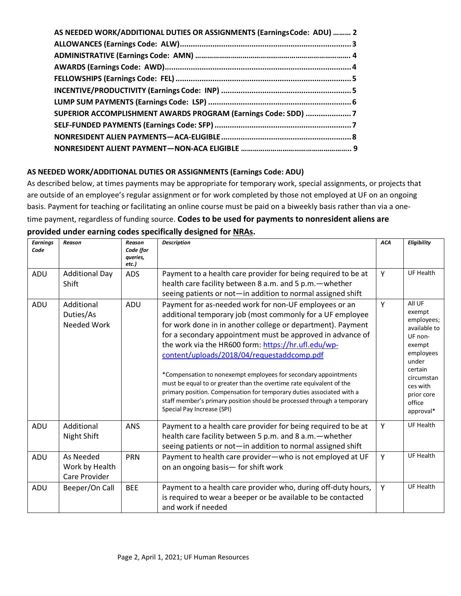| SUPERIOR ACCOMPLISHMENT AWARDS PROGRAM (Earnings Code: SDD) 7 |
|---------------------------------------------------------------|
|                                                               |
|                                                               |
|                                                               |

### <span id="page-1-0"></span>**AS NEEDED WORK/ADDITIONAL DUTIES OR ASSIGNMENTS (Earnings Code: ADU)**

As described below, at times payments may be appropriate for temporary work, special assignments, or projects that are outside of an employee's regular assignment or for work completed by those not employed at UF on an ongoing basis. Payment for teaching or facilitating an online course must be paid on a biweekly basis rather than via a onetime payment, regardless of funding source. **Codes to be used for payments to nonresident aliens are provided under earning codes specifically designed for NRAs.**

| <b>Earnings</b><br>Code | Reason                                       | <b>Reason</b><br>Code (for<br>queries,<br>etc.) | <b>Description</b>                                                                                                                                                                                                                                                                                                                                                                                                                                                                                                                                                                                                                                                                | <b>ACA</b> | Eligibility                                                                                                                                                         |
|-------------------------|----------------------------------------------|-------------------------------------------------|-----------------------------------------------------------------------------------------------------------------------------------------------------------------------------------------------------------------------------------------------------------------------------------------------------------------------------------------------------------------------------------------------------------------------------------------------------------------------------------------------------------------------------------------------------------------------------------------------------------------------------------------------------------------------------------|------------|---------------------------------------------------------------------------------------------------------------------------------------------------------------------|
| ADU                     | <b>Additional Day</b><br>Shift               | <b>ADS</b>                                      | Payment to a health care provider for being required to be at<br>health care facility between 8 a.m. and 5 p.m. - whether<br>seeing patients or not-in addition to normal assigned shift                                                                                                                                                                                                                                                                                                                                                                                                                                                                                          | Y          | <b>UF Health</b>                                                                                                                                                    |
| ADU                     | Additional<br>Duties/As<br>Needed Work       | ADU                                             | Payment for as-needed work for non-UF employees or an<br>additional temporary job (most commonly for a UF employee<br>for work done in in another college or department). Payment<br>for a secondary appointment must be approved in advance of<br>the work via the HR600 form: https://hr.ufl.edu/wp-<br>content/uploads/2018/04/requestaddcomp.pdf<br>*Compensation to nonexempt employees for secondary appointments<br>must be equal to or greater than the overtime rate equivalent of the<br>primary position. Compensation for temporary duties associated with a<br>staff member's primary position should be processed through a temporary<br>Special Pay Increase (SPI) | Y          | All UF<br>exempt<br>employees;<br>available to<br>UF non-<br>exempt<br>employees<br>under<br>certain<br>circumstan<br>ces with<br>prior core<br>office<br>approval* |
| ADU                     | Additional<br>Night Shift                    | <b>ANS</b>                                      | Payment to a health care provider for being required to be at<br>health care facility between 5 p.m. and 8 a.m. - whether<br>seeing patients or not-in addition to normal assigned shift                                                                                                                                                                                                                                                                                                                                                                                                                                                                                          | Y          | <b>UF Health</b>                                                                                                                                                    |
| ADU                     | As Needed<br>Work by Health<br>Care Provider | <b>PRN</b>                                      | Payment to health care provider-who is not employed at UF<br>on an ongoing basis- for shift work                                                                                                                                                                                                                                                                                                                                                                                                                                                                                                                                                                                  | Y          | <b>UF Health</b>                                                                                                                                                    |
| ADU                     | Beeper/On Call                               | <b>BEE</b>                                      | Payment to a health care provider who, during off-duty hours,<br>is required to wear a beeper or be available to be contacted<br>and work if needed                                                                                                                                                                                                                                                                                                                                                                                                                                                                                                                               | Y          | <b>UF Health</b>                                                                                                                                                    |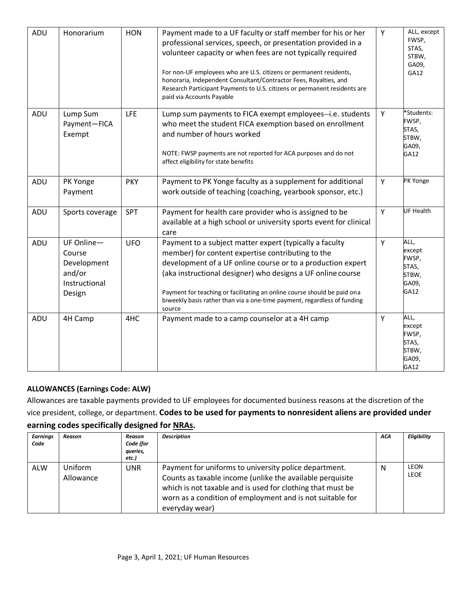| ADU | Honorarium                                                                    | <b>HON</b> | Payment made to a UF faculty or staff member for his or her<br>professional services, speech, or presentation provided in a<br>volunteer capacity or when fees are not typically required<br>For non-UF employees who are U.S. citizens or permanent residents,<br>honoraria, Independent Consultant/Contractor Fees, Royalties, and<br>Research Participant Payments to U.S. citizens or permanent residents are<br>paid via Accounts Payable | Y | ALL, except<br>FWSP,<br>STAS,<br>STBW,<br>GA09,<br>GA12    |
|-----|-------------------------------------------------------------------------------|------------|------------------------------------------------------------------------------------------------------------------------------------------------------------------------------------------------------------------------------------------------------------------------------------------------------------------------------------------------------------------------------------------------------------------------------------------------|---|------------------------------------------------------------|
| ADU | Lump Sum<br>Payment-FICA<br>Exempt                                            | LFE        | Lump sum payments to FICA exempt employees--i.e. students<br>who meet the student FICA exemption based on enrollment<br>and number of hours worked<br>NOTE: FWSP payments are not reported for ACA purposes and do not<br>affect eligibility for state benefits                                                                                                                                                                                | Y | *Students:<br>FWSP,<br>STAS,<br>STBW,<br>GA09,<br>GA12     |
| ADU | PK Yonge<br>Payment                                                           | <b>PKY</b> | Payment to PK Yonge faculty as a supplement for additional<br>work outside of teaching (coaching, yearbook sponsor, etc.)                                                                                                                                                                                                                                                                                                                      | Y | PK Yonge                                                   |
| ADU | Sports coverage                                                               | SPT        | Payment for health care provider who is assigned to be<br>available at a high school or university sports event for clinical<br>care                                                                                                                                                                                                                                                                                                           | Y | <b>UF Health</b>                                           |
| ADU | $UF$ Online $-$<br>Course<br>Development<br>and/or<br>Instructional<br>Design | <b>UFO</b> | Payment to a subject matter expert (typically a faculty<br>member) for content expertise contributing to the<br>development of a UF online course or to a production expert<br>(aka instructional designer) who designs a UF online course<br>Payment for teaching or facilitating an online course should be paid ona<br>biweekly basis rather than via a one-time payment, regardless of funding<br>source                                   | Y | ALL,<br>except<br>FWSP,<br>STAS,<br>STBW,<br>GA09,<br>GA12 |
| ADU | 4H Camp                                                                       | 4HC        | Payment made to a camp counselor at a 4H camp                                                                                                                                                                                                                                                                                                                                                                                                  | Y | ALL,<br>except<br>FWSP,<br>STAS,<br>STBW,<br>GA09,<br>GA12 |

# **ALLOWANCES (Earnings Code: ALW)**

Allowances are taxable payments provided to UF employees for documented business reasons at the discretion of the vice president, college, or department. **Codes to be used for payments to nonresident aliens are provided under earning codes specifically designed for [NRAs.](#page--1-0)**

| <b>Earnings</b><br>Code | Reason                      | Reason<br>Code (for<br>queries,<br>etc.) | <b>Description</b>                                                                                                                                                                                                                                              | ACA | Eligibility                |
|-------------------------|-----------------------------|------------------------------------------|-----------------------------------------------------------------------------------------------------------------------------------------------------------------------------------------------------------------------------------------------------------------|-----|----------------------------|
| ALW                     | <b>Uniform</b><br>Allowance | <b>UNR</b>                               | Payment for uniforms to university police department.<br>Counts as taxable income (unlike the available perquisite<br>which is not taxable and is used for clothing that must be<br>worn as a condition of employment and is not suitable for<br>everyday wear) | N   | <b>LEON</b><br><b>LEOE</b> |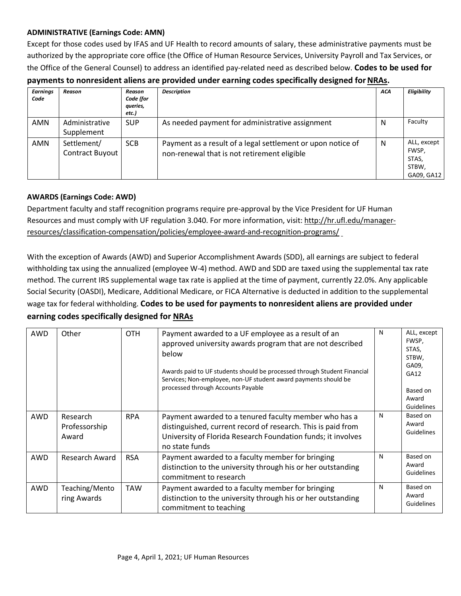### <span id="page-3-0"></span>**ADMINISTRATIVE (Earnings Code: AMN)**

Except for those codes used by IFAS and UF Health to record amounts of salary, these administrative payments must be authorized by the appropriate core office (the Office of Human Resource Services, University Payroll and Tax Services, or the Office of the General Counsel) to address an identified pay-related need as described below. **Codes to be used for** 

| payments to nonresident aliens are provided under earning codes specifically designed for NRAs. |  |  |
|-------------------------------------------------------------------------------------------------|--|--|
|-------------------------------------------------------------------------------------------------|--|--|

| <b>Earnings</b> | <b>Reason</b>                         | Reason                         | <b>Description</b>                                                                                         | <b>ACA</b> | Eligibility                                          |
|-----------------|---------------------------------------|--------------------------------|------------------------------------------------------------------------------------------------------------|------------|------------------------------------------------------|
| Code            |                                       | Code (for<br>queries,<br>etc.) |                                                                                                            |            |                                                      |
| AMN             | Administrative<br>Supplement          | <b>SUP</b>                     | As needed payment for administrative assignment                                                            | N          | Faculty                                              |
| AMN             | Settlement/<br><b>Contract Buyout</b> | <b>SCB</b>                     | Payment as a result of a legal settlement or upon notice of<br>non-renewal that is not retirement eligible | N          | ALL, except<br>FWSP,<br>STAS,<br>STBW,<br>GA09, GA12 |

### **AWARDS (Earnings Code: AWD)**

Department faculty and staff recognition programs require pre-approval by the Vice President for UF Human Resources and must comply with UF regulation 3.040. For more information, visit[: http://hr.ufl.edu/manager](http://hr.ufl.edu/manager-resources/classification-compensation/policies/employee-award-and-recognition-programs/)[resources/classification-compensation/policies/employee-award-and-recognition-programs/](http://hr.ufl.edu/manager-resources/classification-compensation/policies/employee-award-and-recognition-programs/)

With the exception of Awards (AWD) and Superior Accomplishment Awards (SDD), all earnings are subject to federal withholding tax using the annualized (employee W-4) method. AWD and SDD are taxed using the supplemental tax rate method. The current IRS supplemental wage tax rate is applied at the time of payment, currently 22.0%. Any applicable Social Security (OASDI), Medicare, Additional Medicare, or FICA Alternative is deducted in addition to the supplemental wage tax for federal withholding. **Codes to be used for payments to nonresident aliens are provided under earning codes specifically designed for [NRAs](#page--1-0)**

| AWD | Other                              | <b>OTH</b> | Payment awarded to a UF employee as a result of an<br>approved university awards program that are not described<br>below<br>Awards paid to UF students should be processed through Student Financial<br>Services; Non-employee, non-UF student award payments should be<br>processed through Accounts Payable | $\mathsf{N}$ | ALL, except<br>FWSP,<br>STAS,<br>STBW,<br>GA09,<br>GA12<br>Based on<br>Award<br>Guidelines |
|-----|------------------------------------|------------|---------------------------------------------------------------------------------------------------------------------------------------------------------------------------------------------------------------------------------------------------------------------------------------------------------------|--------------|--------------------------------------------------------------------------------------------|
| AWD | Research<br>Professorship<br>Award | <b>RPA</b> | Payment awarded to a tenured faculty member who has a<br>distinguished, current record of research. This is paid from<br>University of Florida Research Foundation funds; it involves<br>no state funds                                                                                                       | N            | Based on<br>Award<br><b>Guidelines</b>                                                     |
| AWD | Research Award                     | <b>RSA</b> | Payment awarded to a faculty member for bringing<br>distinction to the university through his or her outstanding<br>commitment to research                                                                                                                                                                    | N            | Based on<br>Award<br><b>Guidelines</b>                                                     |
| AWD | Teaching/Mento<br>ring Awards      | <b>TAW</b> | Payment awarded to a faculty member for bringing<br>distinction to the university through his or her outstanding<br>commitment to teaching                                                                                                                                                                    | N            | Based on<br>Award<br><b>Guidelines</b>                                                     |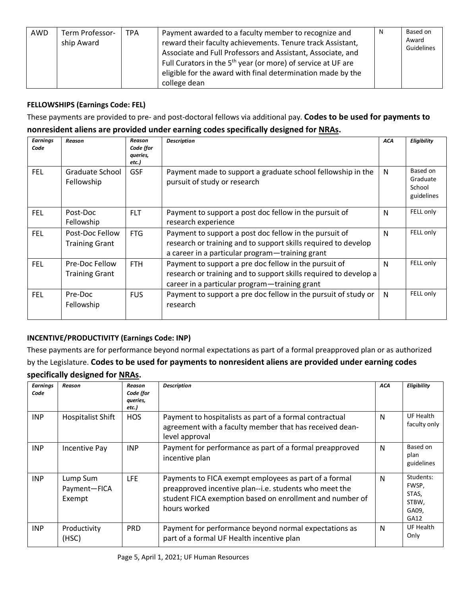| reward their faculty achievements. Tenure track Assistant,<br>ship Award<br>Associate and Full Professors and Assistant, Associate, and<br>Full Curators in the 5 <sup>th</sup> year (or more) of service at UF are<br>eligible for the award with final determination made by the<br>college dean | AWD | Term Professor- | TPA | Payment awarded to a faculty member to recognize and | N | Based on<br>Award<br>Guidelines |
|----------------------------------------------------------------------------------------------------------------------------------------------------------------------------------------------------------------------------------------------------------------------------------------------------|-----|-----------------|-----|------------------------------------------------------|---|---------------------------------|
|----------------------------------------------------------------------------------------------------------------------------------------------------------------------------------------------------------------------------------------------------------------------------------------------------|-----|-----------------|-----|------------------------------------------------------|---|---------------------------------|

### **FELLOWSHIPS (Earnings Code: FEL)**

These payments are provided to pre- and post-doctoral fellows via additional pay. **Codes to be used for payments to** 

### **nonresident aliens are provided under earning codes specifically designed for [NRAs.](#page--1-0)**

| <b>Earnings</b><br>Code | Reason                                   | Reason<br>Code (for<br>queries,<br>etc.) | <b>Description</b>                                                                                                                                                          | <b>ACA</b>   | Eligibility                                  |
|-------------------------|------------------------------------------|------------------------------------------|-----------------------------------------------------------------------------------------------------------------------------------------------------------------------------|--------------|----------------------------------------------|
| <b>FEL</b>              | Graduate School<br>Fellowship            | <b>GSF</b>                               | Payment made to support a graduate school fellowship in the<br>pursuit of study or research                                                                                 | N            | Based on<br>Graduate<br>School<br>guidelines |
| <b>FEL</b>              | Post-Doc<br>Fellowship                   | <b>FLT</b>                               | Payment to support a post doc fellow in the pursuit of<br>research experience                                                                                               | N            | FELL only                                    |
| <b>FEL</b>              | Post-Doc Fellow<br><b>Training Grant</b> | <b>FTG</b>                               | Payment to support a post doc fellow in the pursuit of<br>research or training and to support skills required to develop<br>a career in a particular program-training grant | $\mathsf{N}$ | FELL only                                    |
| <b>FEL</b>              | Pre-Doc Fellow<br><b>Training Grant</b>  | FTH.                                     | Payment to support a pre doc fellow in the pursuit of<br>research or training and to support skills required to develop a<br>career in a particular program-training grant  | $\mathsf{N}$ | FELL only                                    |
| <b>FEL</b>              | Pre-Doc<br>Fellowship                    | <b>FUS</b>                               | Payment to support a pre doc fellow in the pursuit of study or<br>research                                                                                                  | N            | FELL only                                    |

# **INCENTIVE/PRODUCTIVITY (Earnings Code: INP)**

These payments are for performance beyond normal expectations as part of a formal preapproved plan or as authorized by the Legislature. **Codes to be used for payments to nonresident aliens are provided under earning codes specifically designed for [NRAs.](#page--1-0)**

| <b>Earnings</b><br>Code | Reason                             | Reason<br>Code (for<br>queries,<br>etc.) | <b>Description</b>                                                                                                                                                                          | ACA | Eligibility                                           |
|-------------------------|------------------------------------|------------------------------------------|---------------------------------------------------------------------------------------------------------------------------------------------------------------------------------------------|-----|-------------------------------------------------------|
| <b>INP</b>              | <b>Hospitalist Shift</b>           | <b>HOS</b>                               | Payment to hospitalists as part of a formal contractual<br>agreement with a faculty member that has received dean-<br>level approval                                                        | N   | UF Health<br>faculty only                             |
| <b>INP</b>              | Incentive Pay                      | <b>INP</b>                               | Payment for performance as part of a formal preapproved<br>incentive plan                                                                                                                   | N   | Based on<br>plan<br>guidelines                        |
| <b>INP</b>              | Lump Sum<br>Payment-FICA<br>Exempt | <b>LFE</b>                               | Payments to FICA exempt employees as part of a formal<br>preapproved incentive plan--i.e. students who meet the<br>student FICA exemption based on enrollment and number of<br>hours worked | N   | Students:<br>FWSP,<br>STAS,<br>STBW,<br>GA09,<br>GA12 |
| <b>INP</b>              | Productivity<br>(HSC)              | <b>PRD</b>                               | Payment for performance beyond normal expectations as<br>part of a formal UF Health incentive plan                                                                                          | N   | UF Health<br>Only                                     |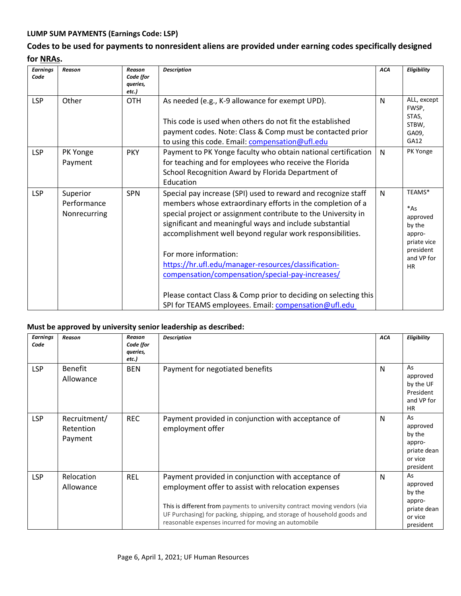## **LUMP SUM PAYMENTS (Earnings Code: LSP)**

# **Codes to be used for payments to nonresident aliens are provided under earning codes specifically designed for [NRAs.](#page--1-0)**

| <b>Earnings</b><br>Code | Reason                                  | Reason<br>Code (for<br>queries,<br>etc.) | <b>Description</b>                                                                                                                                                                                                                                                                                                                                                                                                                                                                                                                                                                   | <b>ACA</b> | Eligibility                                                                                            |
|-------------------------|-----------------------------------------|------------------------------------------|--------------------------------------------------------------------------------------------------------------------------------------------------------------------------------------------------------------------------------------------------------------------------------------------------------------------------------------------------------------------------------------------------------------------------------------------------------------------------------------------------------------------------------------------------------------------------------------|------------|--------------------------------------------------------------------------------------------------------|
| <b>LSP</b>              | Other                                   | <b>OTH</b>                               | As needed (e.g., K-9 allowance for exempt UPD).<br>This code is used when others do not fit the established<br>payment codes. Note: Class & Comp must be contacted prior<br>to using this code. Email: compensation@ufl.edu                                                                                                                                                                                                                                                                                                                                                          | N          | ALL, except<br>FWSP,<br>STAS,<br>STBW,<br>GA09,<br>GA12                                                |
| <b>LSP</b>              | PK Yonge<br>Payment                     | <b>PKY</b>                               | Payment to PK Yonge faculty who obtain national certification<br>for teaching and for employees who receive the Florida<br>School Recognition Award by Florida Department of<br>Education                                                                                                                                                                                                                                                                                                                                                                                            | N          | PK Yonge                                                                                               |
| <b>LSP</b>              | Superior<br>Performance<br>Nonrecurring | <b>SPN</b>                               | Special pay increase (SPI) used to reward and recognize staff<br>members whose extraordinary efforts in the completion of a<br>special project or assignment contribute to the University in<br>significant and meaningful ways and include substantial<br>accomplishment well beyond regular work responsibilities.<br>For more information:<br>https://hr.ufl.edu/manager-resources/classification-<br>compensation/compensation/special-pay-increases/<br>Please contact Class & Comp prior to deciding on selecting this<br>SPI for TEAMS employees. Email: compensation@ufl.edu | N          | TEAMS*<br>$*As$<br>approved<br>by the<br>appro-<br>priate vice<br>president<br>and VP for<br><b>HR</b> |

#### **Must be approved by university senior leadership as described:**

| <b>Earnings</b><br>Code | Reason                               | Reason<br>Code (for<br>queries,<br>etc.) | <b>Description</b>                                                                                                                                                                                                                                                                                                           | <b>ACA</b> | Eligibility                                                               |
|-------------------------|--------------------------------------|------------------------------------------|------------------------------------------------------------------------------------------------------------------------------------------------------------------------------------------------------------------------------------------------------------------------------------------------------------------------------|------------|---------------------------------------------------------------------------|
| <b>LSP</b>              | <b>Benefit</b><br>Allowance          | <b>BEN</b>                               | Payment for negotiated benefits                                                                                                                                                                                                                                                                                              | N          | As<br>approved<br>by the UF<br>President<br>and VP for<br><b>HR</b>       |
| <b>LSP</b>              | Recruitment/<br>Retention<br>Payment | <b>REC</b>                               | Payment provided in conjunction with acceptance of<br>employment offer                                                                                                                                                                                                                                                       | N          | As<br>approved<br>by the<br>appro-<br>priate dean<br>or vice<br>president |
| <b>LSP</b>              | Relocation<br>Allowance              | <b>REL</b>                               | Payment provided in conjunction with acceptance of<br>employment offer to assist with relocation expenses<br>This is different from payments to university contract moving vendors (via<br>UF Purchasing) for packing, shipping, and storage of household goods and<br>reasonable expenses incurred for moving an automobile | N          | As<br>approved<br>by the<br>appro-<br>priate dean<br>or vice<br>president |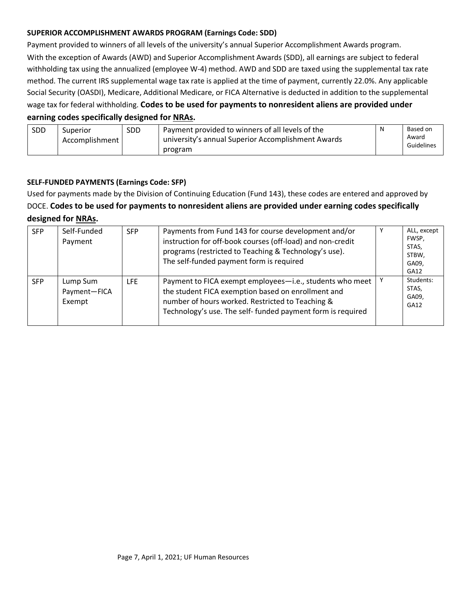### <span id="page-6-0"></span>**SUPERIOR ACCOMPLISHMENT AWARDS PROGRAM (Earnings Code: SDD)**

Payment provided to winners of all levels of the university's annual Superior Accomplishment Awards program.

With the exception of Awards (AWD) and Superior Accomplishment Awards (SDD), all earnings are subject to federal withholding tax using the annualized (employee W-4) method. AWD and SDD are taxed using the supplemental tax rate method. The current IRS supplemental wage tax rate is applied at the time of payment, currently 22.0%. Any applicable Social Security (OASDI), Medicare, Additional Medicare, or FICA Alternative is deducted in addition to the supplemental wage tax for federal withholding. **Codes to be used for payments to nonresident aliens are provided under** 

### **earning codes specifically designed for [NRAs.](#page--1-0)**

| <b>SDD</b> | Superior       | <b>SDD</b> | Payment provided to winners of all levels of the              | N | Based on            |
|------------|----------------|------------|---------------------------------------------------------------|---|---------------------|
|            | Accomplishment |            | university's annual Superior Accomplishment Awards<br>program |   | Award<br>Guidelines |
|            |                |            |                                                               |   |                     |

### **SELF-FUNDED PAYMENTS (Earnings Code: SFP)**

Used for payments made by the Division of Continuing Education (Fund 143), these codes are entered and approved by DOCE. **Codes to be used for payments to nonresident aliens are provided under earning codes specifically designed for NRAs.**

| <b>SFP</b> | Self-Funded<br>Payment             | <b>SFP</b> | Payments from Fund 143 for course development and/or<br>instruction for off-book courses (off-load) and non-credit<br>programs (restricted to Teaching & Technology's use).<br>The self-funded payment form is required           | ALL, except<br>FWSP,<br>STAS.<br>STBW,<br>GA09.<br>GA12 |
|------------|------------------------------------|------------|-----------------------------------------------------------------------------------------------------------------------------------------------------------------------------------------------------------------------------------|---------------------------------------------------------|
| <b>SFP</b> | Lump Sum<br>Payment-FICA<br>Exempt | <b>LFE</b> | Payment to FICA exempt employees-i.e., students who meet<br>the student FICA exemption based on enrollment and<br>number of hours worked. Restricted to Teaching &<br>Technology's use. The self- funded payment form is required | Students:<br>STAS,<br>GA09,<br>GA <sub>12</sub>         |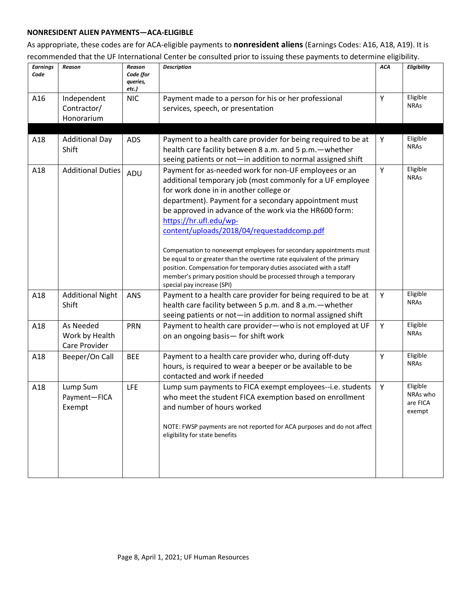### <span id="page-7-0"></span>**NONRESIDENT ALIEN PAYMENTS—ACA-ELIGIBLE**

As appropriate, these codes are for ACA-eligible payments to **nonresident aliens** (Earnings Codes: A16, A18, A19). It is recommended that the UF International Center be consulted prior to issuing these payments to determine eligibility.

| <b>Earnings</b><br>Code | Reason                                       | Reason<br>Code (for<br>queries,<br>etc.) | <b>Description</b>                                                                                                                                                                                                                                                                                                                                                                                                                                                                                                                                                                                                                                                                  | <b>ACA</b> | Eligibility                                |
|-------------------------|----------------------------------------------|------------------------------------------|-------------------------------------------------------------------------------------------------------------------------------------------------------------------------------------------------------------------------------------------------------------------------------------------------------------------------------------------------------------------------------------------------------------------------------------------------------------------------------------------------------------------------------------------------------------------------------------------------------------------------------------------------------------------------------------|------------|--------------------------------------------|
| A16                     | Independent<br>Contractor/<br>Honorarium     | <b>NIC</b>                               | Payment made to a person for his or her professional<br>services, speech, or presentation                                                                                                                                                                                                                                                                                                                                                                                                                                                                                                                                                                                           | Y          | Eligible<br><b>NRAS</b>                    |
| A18                     | <b>Additional Day</b><br>Shift               | ADS                                      | Payment to a health care provider for being required to be at<br>health care facility between 8 a.m. and 5 p.m. - whether<br>seeing patients or not-in addition to normal assigned shift                                                                                                                                                                                                                                                                                                                                                                                                                                                                                            | Υ          | Eligible<br><b>NRAs</b>                    |
| A18                     | <b>Additional Duties</b>                     | ADU                                      | Payment for as-needed work for non-UF employees or an<br>additional temporary job (most commonly for a UF employee<br>for work done in in another college or<br>department). Payment for a secondary appointment must<br>be approved in advance of the work via the HR600 form:<br>https://hr.ufl.edu/wp-<br>content/uploads/2018/04/requestaddcomp.pdf<br>Compensation to nonexempt employees for secondary appointments must<br>be equal to or greater than the overtime rate equivalent of the primary<br>position. Compensation for temporary duties associated with a staff<br>member's primary position should be processed through a temporary<br>special pay increase (SPI) | Y          | Eligible<br><b>NRAs</b>                    |
| A18                     | <b>Additional Night</b><br>Shift             | ANS                                      | Payment to a health care provider for being required to be at<br>health care facility between 5 p.m. and 8 a.m. - whether<br>seeing patients or not-in addition to normal assigned shift                                                                                                                                                                                                                                                                                                                                                                                                                                                                                            | Y          | Eligible<br><b>NRAs</b>                    |
| A18                     | As Needed<br>Work by Health<br>Care Provider | <b>PRN</b>                               | Payment to health care provider-who is not employed at UF<br>on an ongoing basis- for shift work                                                                                                                                                                                                                                                                                                                                                                                                                                                                                                                                                                                    | Υ          | Eligible<br><b>NRAS</b>                    |
| A18                     | Beeper/On Call                               | <b>BEE</b>                               | Payment to a health care provider who, during off-duty<br>hours, is required to wear a beeper or be available to be<br>contacted and work if needed                                                                                                                                                                                                                                                                                                                                                                                                                                                                                                                                 | Y          | Eligible<br><b>NRAs</b>                    |
| A18                     | Lump Sum<br>Payment-FICA<br>Exempt           | <b>LFE</b>                               | Lump sum payments to FICA exempt employees--i.e. students<br>who meet the student FICA exemption based on enrollment<br>and number of hours worked<br>NOTE: FWSP payments are not reported for ACA purposes and do not affect<br>eligibility for state benefits                                                                                                                                                                                                                                                                                                                                                                                                                     | Y          | Eligible<br>NRAs who<br>are FICA<br>exempt |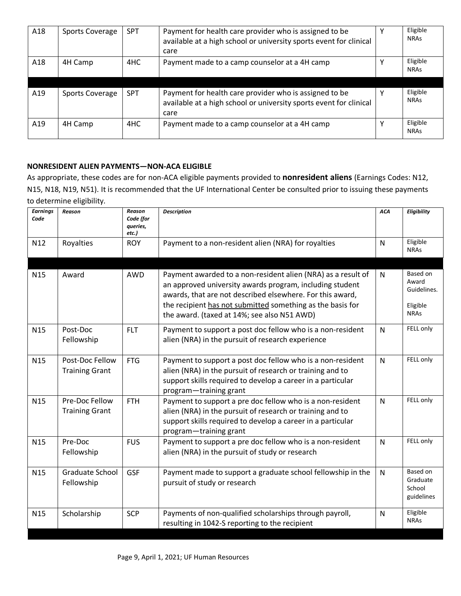<span id="page-8-0"></span>

| A18 | <b>Sports Coverage</b> | SPT        | Payment for health care provider who is assigned to be<br>available at a high school or university sports event for clinical<br>care | Eligible<br><b>NRAs</b> |
|-----|------------------------|------------|--------------------------------------------------------------------------------------------------------------------------------------|-------------------------|
| A18 | 4H Camp                | 4HC        | Payment made to a camp counselor at a 4H camp                                                                                        | Eligible<br><b>NRAs</b> |
| A19 | Sports Coverage        | <b>SPT</b> | Payment for health care provider who is assigned to be<br>available at a high school or university sports event for clinical<br>care | Eligible<br><b>NRAs</b> |
| A19 | 4H Camp                | 4HC        | Payment made to a camp counselor at a 4H camp                                                                                        | Eligible<br><b>NRAs</b> |

### **NONRESIDENT ALIEN PAYMENTS—NON-ACA ELIGIBLE**

As appropriate, these codes are for non-ACA eligible payments provided to **nonresident aliens** (Earnings Codes: N12, N15, N18, N19, N51). It is recommended that the UF International Center be consulted prior to issuing these payments to determine eligibility.

| <b>Earnings</b><br>Code | Reason                                   | Reason<br>Code (for<br>queries,<br>etc.) | <b>Description</b>                                                                                                                                                                                                                                                                                 | <b>ACA</b>   | Eligibility                                                 |
|-------------------------|------------------------------------------|------------------------------------------|----------------------------------------------------------------------------------------------------------------------------------------------------------------------------------------------------------------------------------------------------------------------------------------------------|--------------|-------------------------------------------------------------|
| N12                     | Royalties                                | <b>ROY</b>                               | Payment to a non-resident alien (NRA) for royalties                                                                                                                                                                                                                                                | $\mathsf{N}$ | Eligible<br><b>NRAS</b>                                     |
| N <sub>15</sub>         | Award                                    | AWD                                      | Payment awarded to a non-resident alien (NRA) as a result of<br>an approved university awards program, including student<br>awards, that are not described elsewhere. For this award,<br>the recipient has not submitted something as the basis for<br>the award. (taxed at 14%; see also N51 AWD) | $\mathsf{N}$ | Based on<br>Award<br>Guidelines.<br>Eligible<br><b>NRAs</b> |
| N <sub>15</sub>         | Post-Doc<br>Fellowship                   | <b>FLT</b>                               | Payment to support a post doc fellow who is a non-resident<br>alien (NRA) in the pursuit of research experience                                                                                                                                                                                    | N            | FELL only                                                   |
| N <sub>15</sub>         | Post-Doc Fellow<br><b>Training Grant</b> | <b>FTG</b>                               | Payment to support a post doc fellow who is a non-resident<br>alien (NRA) in the pursuit of research or training and to<br>support skills required to develop a career in a particular<br>program-training grant                                                                                   | $\mathsf{N}$ | FELL only                                                   |
| N <sub>15</sub>         | Pre-Doc Fellow<br><b>Training Grant</b>  | <b>FTH</b>                               | Payment to support a pre doc fellow who is a non-resident<br>alien (NRA) in the pursuit of research or training and to<br>support skills required to develop a career in a particular<br>program-training grant                                                                                    | $\mathsf{N}$ | FELL only                                                   |
| N <sub>15</sub>         | Pre-Doc<br>Fellowship                    | <b>FUS</b>                               | Payment to support a pre doc fellow who is a non-resident<br>alien (NRA) in the pursuit of study or research                                                                                                                                                                                       | $\mathsf{N}$ | FELL only                                                   |
| N <sub>15</sub>         | Graduate School<br>Fellowship            | GSF                                      | Payment made to support a graduate school fellowship in the<br>pursuit of study or research                                                                                                                                                                                                        | $\mathsf{N}$ | Based on<br>Graduate<br>School<br>guidelines                |
| N <sub>15</sub>         | Scholarship                              | <b>SCP</b>                               | Payments of non-qualified scholarships through payroll,<br>resulting in 1042-S reporting to the recipient                                                                                                                                                                                          | N            | Eligible<br><b>NRAs</b>                                     |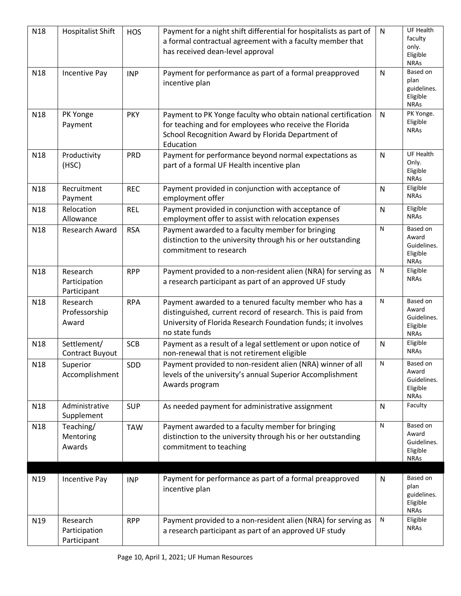| N18             | <b>Hospitalist Shift</b>                 | <b>HOS</b> | Payment for a night shift differential for hospitalists as part of<br>a formal contractual agreement with a faculty member that<br>has received dean-level approval                                     | $\mathsf{N}$ | UF Health<br>faculty<br>only.<br>Eligible<br><b>NRAs</b>    |
|-----------------|------------------------------------------|------------|---------------------------------------------------------------------------------------------------------------------------------------------------------------------------------------------------------|--------------|-------------------------------------------------------------|
| N18             | <b>Incentive Pay</b>                     | <b>INP</b> | Payment for performance as part of a formal preapproved<br>incentive plan                                                                                                                               | N            | Based on<br>plan<br>guidelines.<br>Eligible<br><b>NRAs</b>  |
| N <sub>18</sub> | PK Yonge<br>Payment                      | <b>PKY</b> | Payment to PK Yonge faculty who obtain national certification<br>for teaching and for employees who receive the Florida<br>School Recognition Award by Florida Department of<br>Education               | N            | PK Yonge.<br>Eligible<br><b>NRAs</b>                        |
| N <sub>18</sub> | Productivity<br>(HSC)                    | <b>PRD</b> | Payment for performance beyond normal expectations as<br>part of a formal UF Health incentive plan                                                                                                      | N            | <b>UF Health</b><br>Only.<br>Eligible<br><b>NRAs</b>        |
| N <sub>18</sub> | Recruitment<br>Payment                   | <b>REC</b> | Payment provided in conjunction with acceptance of<br>employment offer                                                                                                                                  | N            | Eligible<br><b>NRAs</b>                                     |
| N18             | Relocation<br>Allowance                  | <b>REL</b> | Payment provided in conjunction with acceptance of<br>employment offer to assist with relocation expenses                                                                                               | N            | Eligible<br><b>NRAs</b>                                     |
| N <sub>18</sub> | Research Award                           | <b>RSA</b> | Payment awarded to a faculty member for bringing<br>distinction to the university through his or her outstanding<br>commitment to research                                                              | ${\sf N}$    | Based on<br>Award<br>Guidelines.<br>Eligible<br><b>NRAs</b> |
| N <sub>18</sub> | Research<br>Participation<br>Participant | <b>RPP</b> | Payment provided to a non-resident alien (NRA) for serving as<br>a research participant as part of an approved UF study                                                                                 | ${\sf N}$    | Eligible<br><b>NRAs</b>                                     |
| N <sub>18</sub> | Research<br>Professorship<br>Award       | <b>RPA</b> | Payment awarded to a tenured faculty member who has a<br>distinguished, current record of research. This is paid from<br>University of Florida Research Foundation funds; it involves<br>no state funds | ${\sf N}$    | Based on<br>Award<br>Guidelines.<br>Eligible<br><b>NRAs</b> |
| N18             | Settlement/<br>Contract Buyout           | <b>SCB</b> | Payment as a result of a legal settlement or upon notice of<br>non-renewal that is not retirement eligible                                                                                              | N            | Eligible<br><b>NRAS</b>                                     |
| N <sub>18</sub> | Superior<br>Accomplishment               | SDD        | Payment provided to non-resident alien (NRA) winner of all<br>levels of the university's annual Superior Accomplishment<br>Awards program                                                               | ${\sf N}$    | Based on<br>Award<br>Guidelines.<br>Eligible<br><b>NRAs</b> |
| N18             | Administrative<br>Supplement             | <b>SUP</b> | As needed payment for administrative assignment                                                                                                                                                         | $\mathsf{N}$ | Faculty                                                     |
| N18             | Teaching/<br>Mentoring<br>Awards         | <b>TAW</b> | Payment awarded to a faculty member for bringing<br>distinction to the university through his or her outstanding<br>commitment to teaching                                                              | ${\sf N}$    | Based on<br>Award<br>Guidelines.<br>Eligible<br><b>NRAs</b> |
| N19             | <b>Incentive Pay</b>                     | <b>INP</b> | Payment for performance as part of a formal preapproved<br>incentive plan                                                                                                                               | N            | Based on<br>plan<br>guidelines.<br>Eligible<br><b>NRAs</b>  |
| N <sub>19</sub> | Research<br>Participation<br>Participant | <b>RPP</b> | Payment provided to a non-resident alien (NRA) for serving as<br>a research participant as part of an approved UF study                                                                                 | N            | Eligible<br><b>NRAs</b>                                     |